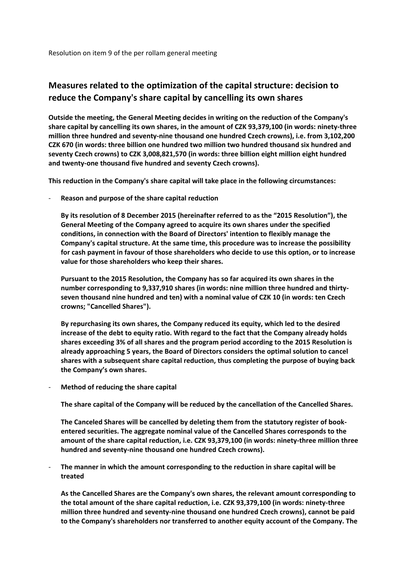Resolution on item 9 of the per rollam general meeting

## **Measures related to the optimization of the capital structure: decision to reduce the Company's share capital by cancelling its own shares**

**Outside the meeting, the General Meeting decides in writing on the reduction of the Company's share capital by cancelling its own shares, in the amount of CZK 93,379,100 (in words: ninety-three million three hundred and seventy-nine thousand one hundred Czech crowns), i.e. from 3,102,200 CZK 670 (in words: three billion one hundred two million two hundred thousand six hundred and seventy Czech crowns) to CZK 3,008,821,570 (in words: three billion eight million eight hundred and twenty-one thousand five hundred and seventy Czech crowns).**

**This reduction in the Company's share capital will take place in the following circumstances:**

- **Reason and purpose of the share capital reduction**

**By its resolution of 8 December 2015 (hereinafter referred to as the "2015 Resolution"), the General Meeting of the Company agreed to acquire its own shares under the specified conditions, in connection with the Board of Directors' intention to flexibly manage the Company's capital structure. At the same time, this procedure was to increase the possibility for cash payment in favour of those shareholders who decide to use this option, or to increase value for those shareholders who keep their shares.**

**Pursuant to the 2015 Resolution, the Company has so far acquired its own shares in the number corresponding to 9,337,910 shares (in words: nine million three hundred and thirtyseven thousand nine hundred and ten) with a nominal value of CZK 10 (in words: ten Czech crowns; "Cancelled Shares").**

**By repurchasing its own shares, the Company reduced its equity, which led to the desired increase of the debt to equity ratio. With regard to the fact that the Company already holds shares exceeding 3% of all shares and the program period according to the 2015 Resolution is already approaching 5 years, the Board of Directors considers the optimal solution to cancel shares with a subsequent share capital reduction, thus completing the purpose of buying back the Company's own shares.**

- **Method of reducing the share capital**

**The share capital of the Company will be reduced by the cancellation of the Cancelled Shares.**

**The Canceled Shares will be cancelled by deleting them from the statutory register of bookentered securities. The aggregate nominal value of the Cancelled Shares corresponds to the amount of the share capital reduction, i.e. CZK 93,379,100 (in words: ninety-three million three hundred and seventy-nine thousand one hundred Czech crowns).**

- **The manner in which the amount corresponding to the reduction in share capital will be treated**

**As the Cancelled Shares are the Company's own shares, the relevant amount corresponding to the total amount of the share capital reduction, i.e. CZK 93,379,100 (in words: ninety-three million three hundred and seventy-nine thousand one hundred Czech crowns), cannot be paid to the Company's shareholders nor transferred to another equity account of the Company. The**